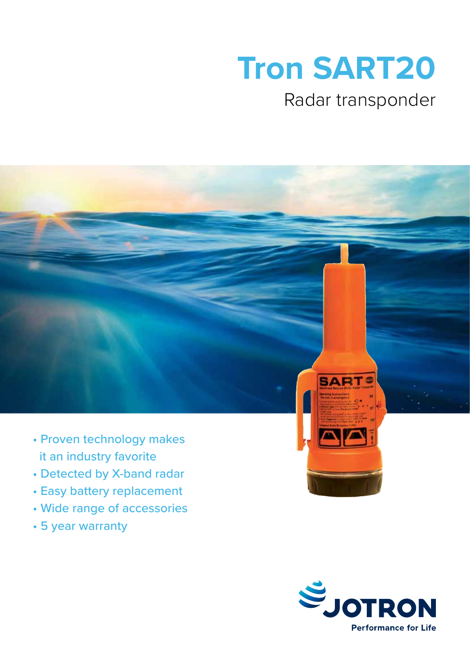# **Tron SART20**

### Radar transponder



- Proven technology makes it an industry favorite
- Detected by X-band radar
- Easy battery replacement
- Wide range of accessories
- 5 year warranty